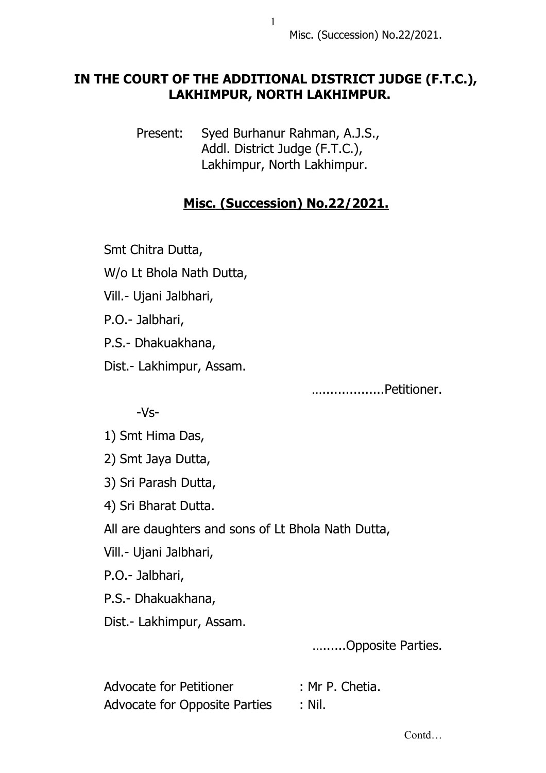## **IN THE COURT OF THE ADDITIONAL DISTRICT JUDGE (F.T.C.), LAKHIMPUR, NORTH LAKHIMPUR.**

 Present: Syed Burhanur Rahman, A.J.S., Addl. District Judge (F.T.C.), Lakhimpur, North Lakhimpur.

## **Misc. (Succession) No.22/2021.**

Smt Chitra Dutta,

W/o Lt Bhola Nath Dutta,

Vill.- Ujani Jalbhari,

P.O.- Jalbhari,

P.S.- Dhakuakhana,

Dist.- Lakhimpur, Assam.

…................Petitioner.

-Vs-

1) Smt Hima Das,

2) Smt Jaya Dutta,

3) Sri Parash Dutta,

4) Sri Bharat Dutta.

All are daughters and sons of Lt Bhola Nath Dutta,

Vill.- Ujani Jalbhari,

P.O.- Jalbhari,

P.S.- Dhakuakhana,

Dist.- Lakhimpur, Assam.

…......Opposite Parties.

Advocate for Petitioner : Mr P. Chetia. Advocate for Opposite Parties : Nil.

Contd…

1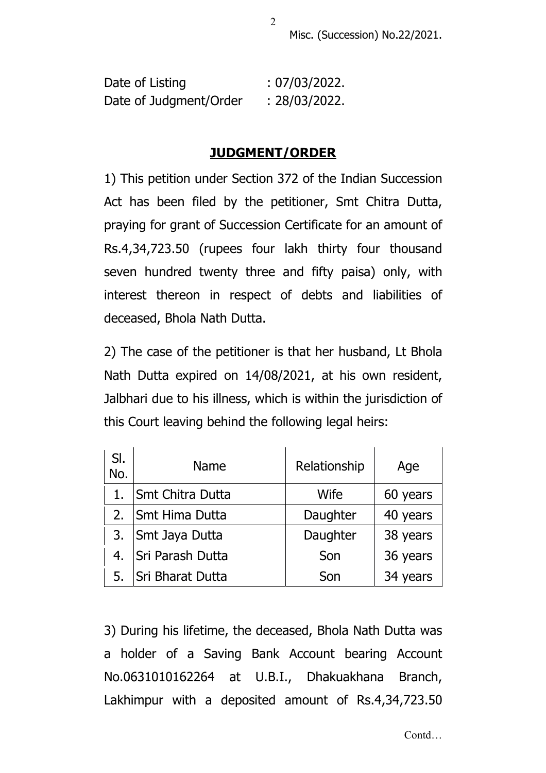Misc. (Succession) No.22/2021.

| Date of Listing        | : 07/03/2022. |
|------------------------|---------------|
| Date of Judgment/Order | : 28/03/2022. |

## **JUDGMENT/ORDER**

1) This petition under Section 372 of the Indian Succession Act has been filed by the petitioner, Smt Chitra Dutta, praying for grant of Succession Certificate for an amount of Rs.4,34,723.50 (rupees four lakh thirty four thousand seven hundred twenty three and fifty paisa) only, with interest thereon in respect of debts and liabilities of deceased, Bhola Nath Dutta.

2) The case of the petitioner is that her husband, Lt Bhola Nath Dutta expired on 14/08/2021, at his own resident, Jalbhari due to his illness, which is within the jurisdiction of this Court leaving behind the following legal heirs:

| SI.<br>No. | <b>Name</b>             | Relationship | Age      |
|------------|-------------------------|--------------|----------|
|            | <b>Smt Chitra Dutta</b> | Wife         | 60 years |
| 2.         | <b>Smt Hima Dutta</b>   | Daughter     | 40 years |
| 3.         | Smt Jaya Dutta          | Daughter     | 38 years |
| 4.         | Sri Parash Dutta        | Son          | 36 years |
| 5.         | Sri Bharat Dutta        | Son          | 34 years |

3) During his lifetime, the deceased, Bhola Nath Dutta was a holder of a Saving Bank Account bearing Account No.0631010162264 at U.B.I., Dhakuakhana Branch, Lakhimpur with a deposited amount of Rs.4,34,723.50

2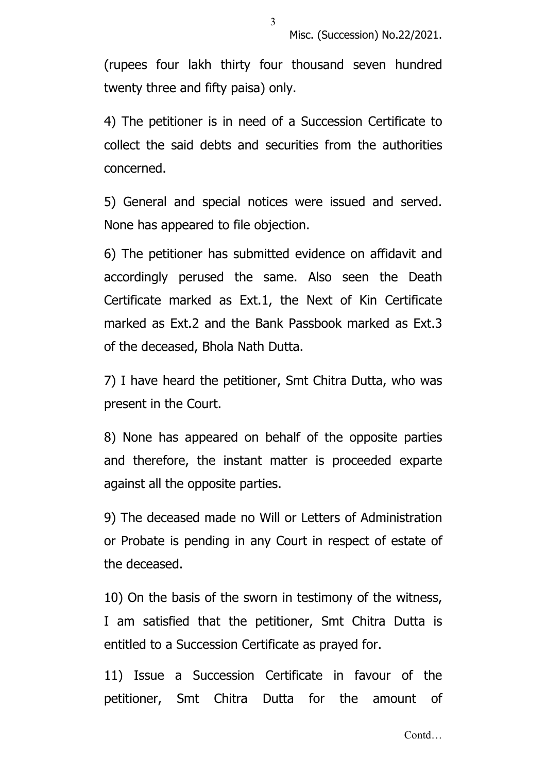(rupees four lakh thirty four thousand seven hundred twenty three and fifty paisa) only.

4) The petitioner is in need of a Succession Certificate to collect the said debts and securities from the authorities concerned.

5) General and special notices were issued and served. None has appeared to file objection.

6) The petitioner has submitted evidence on affidavit and accordingly perused the same. Also seen the Death Certificate marked as Ext.1, the Next of Kin Certificate marked as Ext.2 and the Bank Passbook marked as Ext.3 of the deceased, Bhola Nath Dutta.

7) I have heard the petitioner, Smt Chitra Dutta, who was present in the Court.

8) None has appeared on behalf of the opposite parties and therefore, the instant matter is proceeded exparte against all the opposite parties.

9) The deceased made no Will or Letters of Administration or Probate is pending in any Court in respect of estate of the deceased.

10) On the basis of the sworn in testimony of the witness, I am satisfied that the petitioner, Smt Chitra Dutta is entitled to a Succession Certificate as prayed for.

11) Issue a Succession Certificate in favour of the petitioner, Smt Chitra Dutta for the amount of